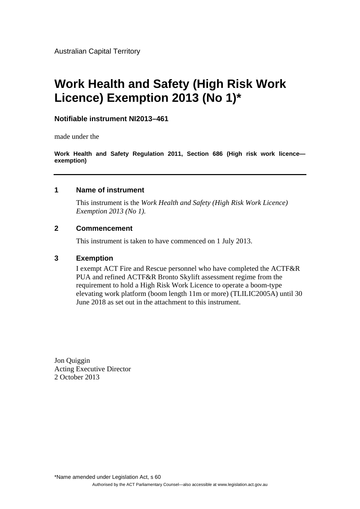Australian Capital Territory

## **Work Health and Safety (High Risk Work Licence) Exemption 2013 (No 1)\***

### **Notifiable instrument NI2013–461**

made under the

**Work Health and Safety Regulation 2011, Section 686 (High risk work licence exemption)** 

#### **1 Name of instrument**

This instrument is the *Work Health and Safety (High Risk Work Licence) Exemption 2013 (No 1).* 

### **2 Commencement**

This instrument is taken to have commenced on 1 July 2013.

#### **3 Exemption**

I exempt ACT Fire and Rescue personnel who have completed the ACTF&R PUA and refined ACTF&R Bronto Skylift assessment regime from the requirement to hold a High Risk Work Licence to operate a boom-type elevating work platform (boom length 11m or more) (TLILIC2005A) until 30 June 2018 as set out in the attachment to this instrument.

Jon Quiggin Acting Executive Director 2 October 2013